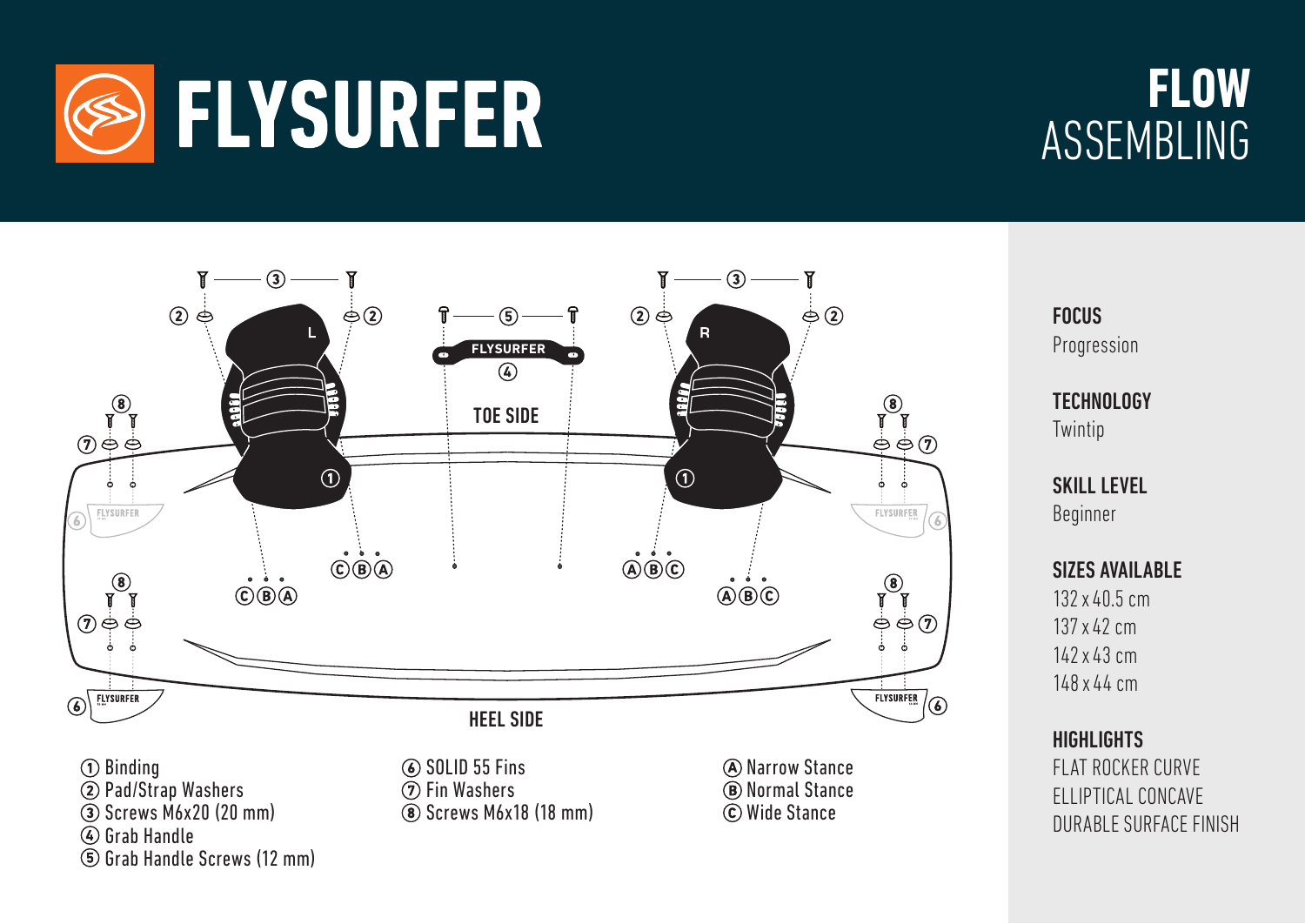

Grab Handle Screws (12 mm)





**FOCUS** Progression

**TECHNOLOGY Twintip** 

SKILL LEVEL Beginner

SIZES AVAILABLE

132 x 40.5 cm 137 x 42 cm 142 x 43 cm 148 x 44 cm

**HIGHLIGHTS** 

FLAT ROCKER CURVE ELLIPTICAL CONCAVE DURABLE SURFACE FINISH